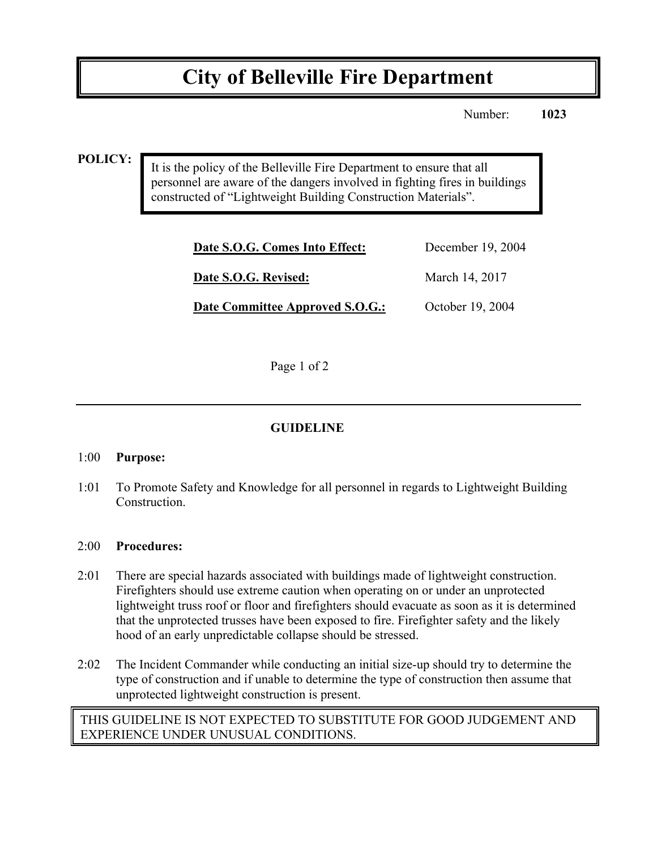# **City of Belleville Fire Department**

Number: **1023**

#### **POLICY:**

It is the policy of the Belleville Fire Department to ensure that all personnel are aware of the dangers involved in fighting fires in buildings constructed of "Lightweight Building Construction Materials".

| Date S.O.G. Comes Into Effect:  | December 19, 2004 |
|---------------------------------|-------------------|
| Date S.O.G. Revised:            | March 14, 2017    |
| Date Committee Approved S.O.G.: | October 19, 2004  |

Page 1 of 2

## **GUIDELINE**

#### 1:00 **Purpose:**

1:01 To Promote Safety and Knowledge for all personnel in regards to Lightweight Building Construction.

#### 2:00 **Procedures:**

- 2:01 There are special hazards associated with buildings made of lightweight construction. Firefighters should use extreme caution when operating on or under an unprotected lightweight truss roof or floor and firefighters should evacuate as soon as it is determined that the unprotected trusses have been exposed to fire. Firefighter safety and the likely hood of an early unpredictable collapse should be stressed.
- 2:02 The Incident Commander while conducting an initial size-up should try to determine the type of construction and if unable to determine the type of construction then assume that unprotected lightweight construction is present.

## THIS GUIDELINE IS NOT EXPECTED TO SUBSTITUTE FOR GOOD JUDGEMENT AND EXPERIENCE UNDER UNUSUAL CONDITIONS.